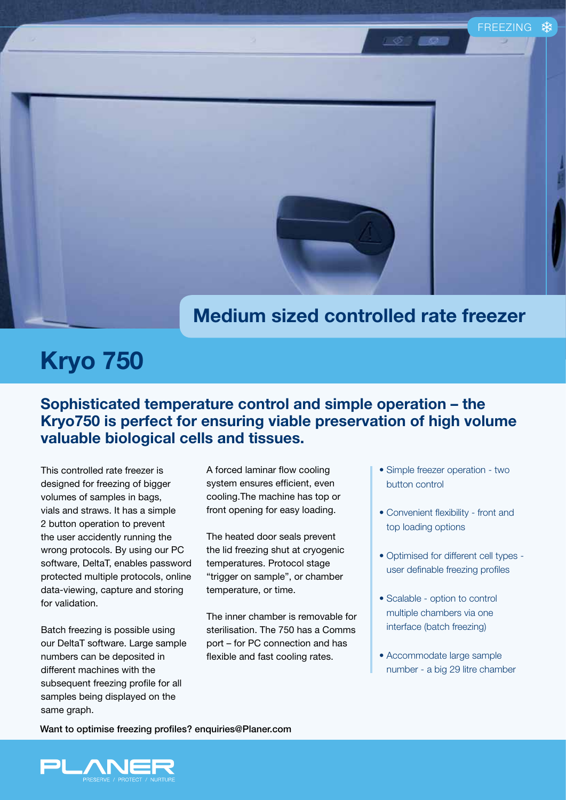## **Medium sized controlled rate freezer**

## **Kryo 750**

**Sophisticated temperature control and simple operation – the Kryo750 is perfect for ensuring viable preservation of high volume valuable biological cells and tissues.**

This controlled rate freezer is designed for freezing of bigger volumes of samples in bags, vials and straws. It has a simple 2 button operation to prevent the user accidently running the wrong protocols. By using our PC software, DeltaT, enables password protected multiple protocols, online data-viewing, capture and storing for validation.

Batch freezing is possible using our DeltaT software. Large sample numbers can be deposited in different machines with the subsequent freezing profile for all samples being displayed on the same graph.

A forced laminar flow cooling system ensures efficient, even cooling.The machine has top or front opening for easy loading.

The heated door seals prevent the lid freezing shut at cryogenic temperatures. Protocol stage "trigger on sample", or chamber temperature, or time.

The inner chamber is removable for sterilisation. The 750 has a Comms port – for PC connection and has flexible and fast cooling rates.

• Simple freezer operation - two button control

FREEZING

- Convenient flexibility front and top loading options
- Optimised for different cell types user definable freezing profiles
- Scalable option to control multiple chambers via one interface (batch freezing)
- Accommodate large sample number - a big 29 litre chamber

Want to optimise freezing profiles? enquiries@Planer.com